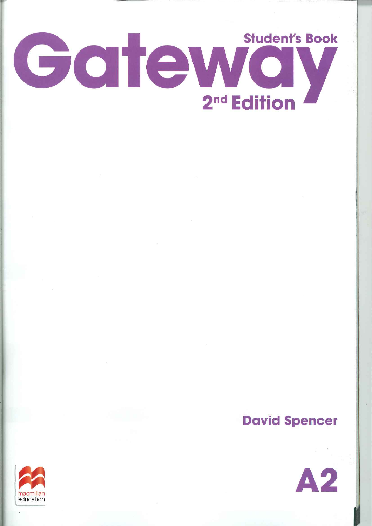

# **David Spencer**



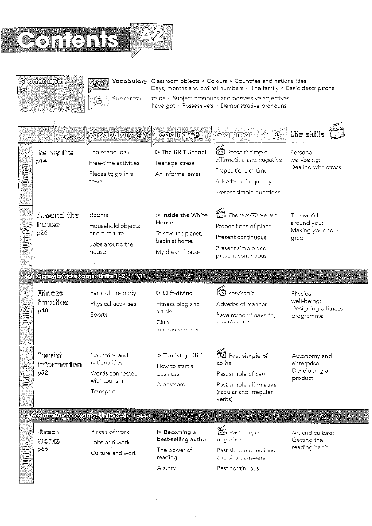





Vocabulary Classroom objects . Colours . Countries and nationalities Days, months and ordinal numbers . The family . Basic descriptions to be « Subject pronouns and possessive adjectives have got « Possessive's » Demonstrative pronouns

 $\tilde{\mathcal{G}}$  $\mathcal{L}$ j.

|                   |                                        | Voedbulary Q <sup>er</sup>                                                     | <b>Reading</b>                                                                                        | Grammar<br>(و)                                                                                                                    | Life skills                                                 |
|-------------------|----------------------------------------|--------------------------------------------------------------------------------|-------------------------------------------------------------------------------------------------------|-----------------------------------------------------------------------------------------------------------------------------------|-------------------------------------------------------------|
| ص<br><b>S</b>     | li's my life<br>p14                    | The school day<br>Free-time activities<br>Places to go in a<br>town            | ▷ The BRIT School<br>Teenage stress<br>An informal email                                              | <b>B</b><br>Besent simple<br>affirmative and negative<br>Prepositions of time<br>Adverbs of frequency<br>Present simple questions | Personal<br>well-being:<br>Dealing with stress              |
| Unit <sub>2</sub> | Around the<br>house<br>p26             | Rooms<br>Household objects<br>and furniture<br>Jobs around the<br>house        | $\triangleright$ Inside the White<br>House<br>To save the planet,<br>begin at home!<br>My dream house | سينتم<br>There is/There are<br>Prepositions of place<br>Present continuous<br>Present simple and<br>present continuous            | The world<br>around you:<br>Making your house<br>green      |
|                   | $\sqrt{ }$ Gaieway to exams: Units 1-2 | <u> 1988 </u>                                                                  |                                                                                                       |                                                                                                                                   |                                                             |
| Unit <sup>5</sup> | Fiiness<br>fanatics<br>p40             | Parts of the body<br>Physical activities<br>Sports                             | $\triangleright$ Cliff-diving<br>Fitness blog and<br>article<br>Club<br>announcements                 | 裣<br>can/can't<br>Adverbs of manner<br>have to/don't have to,<br>must/mustn't                                                     | Physical<br>well-being:<br>Designing a fitness<br>programme |
| UDDE              | Tourist<br>information<br>p52          | Countries and<br>nationalities<br>Words connected<br>with tourism<br>Transport | $\triangleright$ Tourist graffiti<br>How to start a<br>business<br>A postcard                         | Past simple of<br>to be<br>Past simple of can<br>Past simple affirmative<br>(regular and irregular<br>verbs)                      | Autonomy and<br>enterprise:<br>Developing a<br>product      |
|                   | $\sqrt{}$ Coleway to exams Units 8-4   | 1064                                                                           |                                                                                                       |                                                                                                                                   |                                                             |
| <b>Gillip</b>     | Great<br>works<br>p66                  | Places of work<br>Jobs and work<br>Culture and work                            | $>$ Becoming a<br>best-selling author<br>The power of<br>reading<br>A story                           | <b>ES</b> Past simple<br>negative<br>Past simple questions<br>and short answers<br>Past continuous                                | Art and culture:<br>Getting the<br>reading habit            |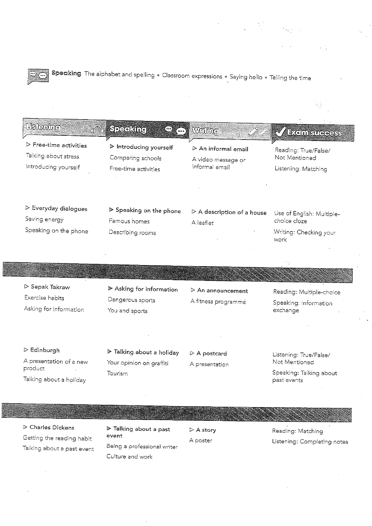Speaking The alphabet and spelling . Classroom expressions . Saying hello . Telling the time

| <b>Listening</b>                                                                      | <b>TO SPECIFIC</b><br><u>EXT.</u>                                   | Willing                                                                    | <b>Exem suecess</b>                                                         |
|---------------------------------------------------------------------------------------|---------------------------------------------------------------------|----------------------------------------------------------------------------|-----------------------------------------------------------------------------|
| $\triangleright$ Free-time activities<br>Talking about stress<br>Introducing yourself | > Introducing yourself<br>Comparing schools<br>Free-time activities | $\triangleright$ An informal email<br>A video message or<br>informal email | Reading: True/False/<br>Not Mentioned<br>Listening: Matching                |
| $\triangleright$ Everyday dialogues<br>Saving energy<br>Speaking on the phone         | ▶ Speaking on the phone<br>Famous homes<br>Describing rooms         | $\triangleright$ A description of a house<br>A leaflet                     | Use of English: Multiple-<br>choice cloze<br>Writing: Checking your<br>work |

## $\triangleright$  Sepak Takraw Exercise habits Asking for information

▷ Edinburgh

product

A presentation of a new

Talking about a holiday

 $\mathbf{r}$ 

 $\triangleright$  Asking for information Dangerous sports You and sports

 $\triangleright$  Talking about a holiday

Your opinion on graffiti

Tourism

# $\triangleright$  An announcement A fitness programme

 $\triangleright$  A postcard

A presentation

### Reading: Multiple-choice Speaking: Information exchange

Listening: True/False/ Not Mentioned

Speaking: Talking about past events

 $\triangleright$  Charles Dickens Getting the reading habit Talking about a past event

 $\triangleright$  Talking about a past event Being a professional writer Culture and work

 $\triangleright$  A story A poster

Reading: Matching Listening: Completing notes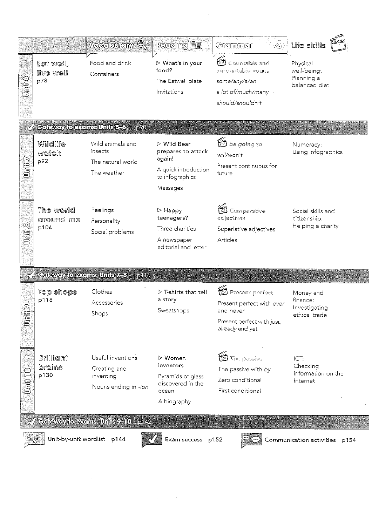|                              |                                    | Vocabulary Q <sup>or</sup>                                             | <b>Reading</b> (1)                                                                                                | Grannaer<br>G                                                                                                   | Life skills                                             |
|------------------------------|------------------------------------|------------------------------------------------------------------------|-------------------------------------------------------------------------------------------------------------------|-----------------------------------------------------------------------------------------------------------------|---------------------------------------------------------|
| <b>Online</b>                | Eoi woll,<br>live well<br>p78      | Food and drink<br>Containers                                           | $\triangleright$ What's in your<br>food?<br>The Eatwell plate<br>Invitations                                      | .<br>C<br>Countable and<br>uncountable nouns<br>some/any/a/an<br>a lot of/much/many ·<br>should/shouldn't       | Physical<br>well-being:<br>Planning a<br>balanced diet  |
|                              | <b>Calevay to exams: Units 5-6</b> | 590                                                                    |                                                                                                                   |                                                                                                                 |                                                         |
| $\mathbf{U}$ of $\mathbf{U}$ | Wildlife<br>watch<br>p92           | Wild animals and<br>insects<br>The natural world<br>The weather        | $\triangleright$ Wild Bear<br>prepares to attack<br>again!<br>A quick introduction<br>to infographics<br>Messages | the going to<br>will/won't<br>Present continuous for<br>future                                                  | Numeracy:<br>Using infographics                         |
| Uili <sup>8</sup>            | The world<br>around me<br>p104     | Feelings<br>Personality<br>Social problems                             | $\triangleright$ Happy<br>teenagers?<br>Three charities<br>A newspaper<br>editorial and letter                    | Comparative<br>adjectives<br>Superlative adjectives<br>Articles                                                 | Social skills and<br>citizenship:<br>Helping a charity  |
| $\mathscr{A}_\ell$           | Cateway to exams Units 7-3         | p16                                                                    |                                                                                                                   |                                                                                                                 |                                                         |
| $\odot$<br>j                 | Top shops<br>p118                  | Clothes<br>Accessories<br>Shops                                        | $\triangleright$ T-shirts that tell<br>a story<br>Sweatshops                                                      | 圈<br>Present perfect<br>Present perfect with ever<br>and never<br>Present perfect with just,<br>already and yet | Money and<br>finance:<br>Investigating<br>ethical trade |
| 00100                        | Brilliant<br>brains<br>p130        | Useful inventions<br>Creating and<br>inventing<br>Nouns ending in -ion | i≻ Women<br>inventors<br>Pyramids of glass<br>discovered in the<br>ocean<br>A biography                           | The passive<br>The passive with by<br>Zero conditional<br>First conditional                                     | ICT:<br>Checking<br>information on the<br>Internet      |
|                              | Cateway to exams Units 2-10        | 5142                                                                   |                                                                                                                   |                                                                                                                 |                                                         |
|                              | Unit-by-unit wordlist p144         |                                                                        | Exam success                                                                                                      | p152                                                                                                            | Communication activities<br>p154                        |

 $\label{eq:2.1} \frac{1}{\sqrt{2}}\int_{0}^{\infty}\frac{1}{\sqrt{2\pi}}\left(\frac{1}{\sqrt{2\pi}}\int_{0}^{\infty}\frac{1}{\sqrt{2\pi}}\left(\frac{1}{\sqrt{2\pi}}\int_{0}^{\infty}\frac{1}{\sqrt{2\pi}}\right)\frac{1}{\sqrt{2\pi}}\right)\frac{1}{\sqrt{2\pi}}\frac{1}{\sqrt{2\pi}}\int_{0}^{\infty}\frac{1}{\sqrt{2\pi}}\frac{1}{\sqrt{2\pi}}\frac{1}{\sqrt{2\pi}}\frac{1}{\sqrt{2\pi}}\frac{1}{\sqrt{2\pi}}\$ 

 $\label{eq:2.1} \frac{1}{\sqrt{2\pi}}\left(\frac{1}{\sqrt{2\pi}}\right)^{2} \left(\frac{1}{\sqrt{2\pi}}\right)^{2} \left(\frac{1}{\sqrt{2\pi}}\right)^{2} \left(\frac{1}{\sqrt{2\pi}}\right)^{2} \left(\frac{1}{\sqrt{2\pi}}\right)^{2} \left(\frac{1}{\sqrt{2\pi}}\right)^{2} \left(\frac{1}{\sqrt{2\pi}}\right)^{2} \left(\frac{1}{\sqrt{2\pi}}\right)^{2} \left(\frac{1}{\sqrt{2\pi}}\right)^{2} \left(\frac{1}{\sqrt{2\pi}}\right)^{2$ 

 $\sim 10^6$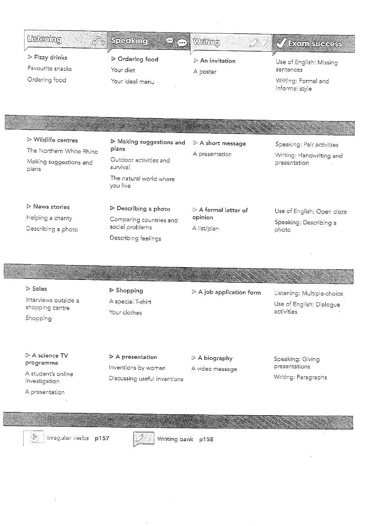| <b>Usiening</b>                                                                                  |                                                                                                                               |                                                               |                                                                               |
|--------------------------------------------------------------------------------------------------|-------------------------------------------------------------------------------------------------------------------------------|---------------------------------------------------------------|-------------------------------------------------------------------------------|
| đŴ                                                                                               | Speaking<br>$\subset\!\!\!\subset\!\!\!\subset\!\!\!\!\sim$                                                                   | Wriine<br>$\mathbb{C}^2$                                      | <b>EXCITO SUGGESS</b>                                                         |
| $\triangleright$ Fizzy drinks<br>Favourite snacks<br>Ordering food                               | $\triangleright$ Ordering food<br>Your diet<br>Your ideal menu                                                                | $\triangleright$ An invitation<br>A poster                    | Use of English: Missing<br>sentences<br>Writing: Formal and<br>informal style |
|                                                                                                  |                                                                                                                               |                                                               |                                                                               |
| $\triangleright$ Wildlife centres<br>The Northern White Rhino<br>Making suggestions and<br>plans | $\triangleright$ Making suggestions and<br>plans<br>Outdoor activities and<br>survival<br>The natural world where<br>you live | $\triangleright$ A short message<br>A presentation            | Speaking: Pair activities<br>Writing: Handwriting and<br>presentation         |
| $\triangleright$ News stories<br>Helping a charity<br>Describing a photo                         | $\triangleright$ Describing a photo<br>Comparing countries and<br>social problems                                             | $\triangleright$ A formal letter of<br>opinion<br>A list/plan | Use of English: Open cloze<br>Speaking: Describing a<br>photo                 |

 $\triangleright$  Sales Interviews outside a shopping centre Shopping

 $\triangleright$  Shopping A special T-shirt Your clothes

Describing feelings

 $\triangleright$  A job application form

Listening: Multiple-choice Use of English: Dialogue activities

 $\triangleright$  A science TV programme

A student's online investigation

A presentation

 $\triangleright$  A presentation Inventions by women Discussing useful inventions

 $\triangleright$  A biography A video message Speaking: Giving presentations Writing: Paragraphs



Irregular verbs p157



Writing bank p158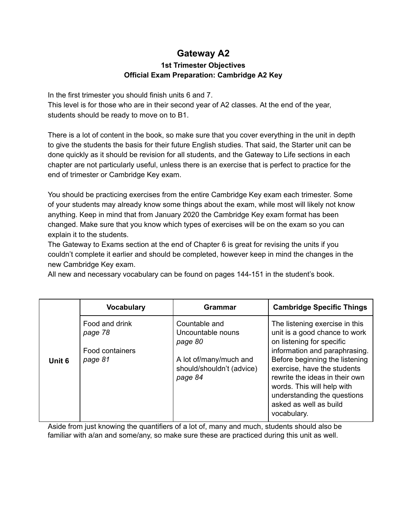## **Gateway A2**

### **1st Trimester Objectives Official Exam Preparation: Cambridge A2 Key**

In the first trimester you should finish units 6 and 7.

This level is for those who are in their second year of A2 classes. At the end of the year, students should be ready to move on to B1.

There is a lot of content in the book, so make sure that you cover everything in the unit in depth to give the students the basis for their future English studies. That said, the Starter unit can be done quickly as it should be revision for all students, and the Gateway to Life sections in each chapter are not particularly useful, unless there is an exercise that is perfect to practice for the end of trimester or Cambridge Key exam.

You should be practicing exercises from the entire Cambridge Key exam each trimester. Some of your students may already know some things about the exam, while most will likely not know anything. Keep in mind that from January 2020 the Cambridge Key exam format has been changed. Make sure that you know which types of exercises will be on the exam so you can explain it to the students.

The Gateway to Exams section at the end of Chapter 6 is great for revising the units if you couldn't complete it earlier and should be completed, however keep in mind the changes in the new Cambridge Key exam.

All new and necessary vocabulary can be found on pages 144-151 in the student's book.

|        | <b>Vocabulary</b>                                       | Grammar                                                                                                         | <b>Cambridge Specific Things</b>                                                                                                                                                                                                                                                                                                       |
|--------|---------------------------------------------------------|-----------------------------------------------------------------------------------------------------------------|----------------------------------------------------------------------------------------------------------------------------------------------------------------------------------------------------------------------------------------------------------------------------------------------------------------------------------------|
| Unit 6 | Food and drink<br>page 78<br>Food containers<br>page 81 | Countable and<br>Uncountable nouns<br>page 80<br>A lot of/many/much and<br>should/shouldn't (advice)<br>page 84 | The listening exercise in this<br>unit is a good chance to work<br>on listening for specific<br>information and paraphrasing.<br>Before beginning the listening<br>exercise, have the students<br>rewrite the ideas in their own<br>words. This will help with<br>understanding the questions<br>asked as well as build<br>vocabulary. |

Aside from just knowing the quantifiers of a lot of, many and much, students should also be familiar with a/an and some/any, so make sure these are practiced during this unit as well.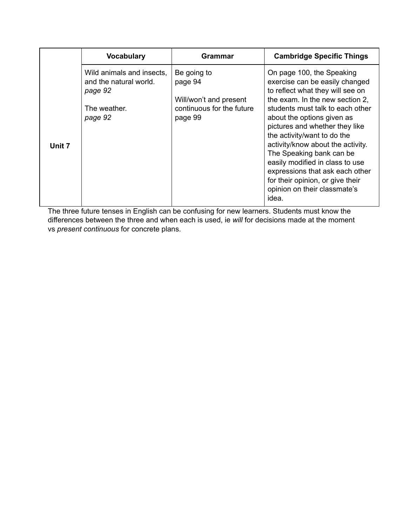|        | <b>Vocabulary</b>                                                                         | <b>Grammar</b>                                                                           | <b>Cambridge Specific Things</b>                                                                                                                                                                                                                                                                                                                                          |
|--------|-------------------------------------------------------------------------------------------|------------------------------------------------------------------------------------------|---------------------------------------------------------------------------------------------------------------------------------------------------------------------------------------------------------------------------------------------------------------------------------------------------------------------------------------------------------------------------|
| Unit 7 | Wild animals and insects,<br>and the natural world.<br>page 92<br>The weather.<br>page 92 | Be going to<br>page 94<br>Will/won't and present<br>continuous for the future<br>page 99 | On page 100, the Speaking<br>exercise can be easily changed<br>to reflect what they will see on<br>the exam. In the new section 2,<br>students must talk to each other<br>about the options given as<br>pictures and whether they like<br>the activity/want to do the<br>activity/know about the activity.<br>The Speaking bank can be<br>easily modified in class to use |
|        |                                                                                           |                                                                                          | expressions that ask each other<br>for their opinion, or give their<br>opinion on their classmate's<br>idea.                                                                                                                                                                                                                                                              |

The three future tenses in English can be confusing for new learners. Students must know the differences between the three and when each is used, ie *will* for decisions made at the moment vs *present continuous* for concrete plans.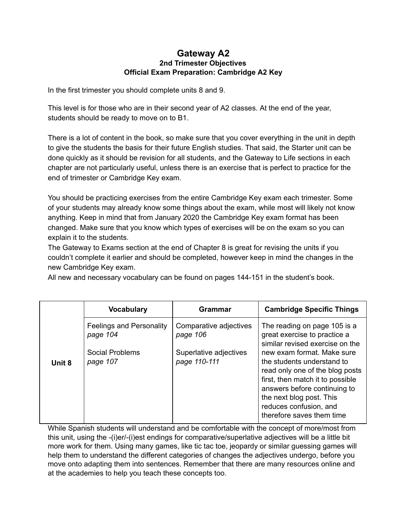#### **Gateway A2 2nd Trimester Objectives Official Exam Preparation: Cambridge A2 Key**

In the first trimester you should complete units 8 and 9.

This level is for those who are in their second year of A2 classes. At the end of the year, students should be ready to move on to B1.

There is a lot of content in the book, so make sure that you cover everything in the unit in depth to give the students the basis for their future English studies. That said, the Starter unit can be done quickly as it should be revision for all students, and the Gateway to Life sections in each chapter are not particularly useful, unless there is an exercise that is perfect to practice for the end of trimester or Cambridge Key exam.

You should be practicing exercises from the entire Cambridge Key exam each trimester. Some of your students may already know some things about the exam, while most will likely not know anything. Keep in mind that from January 2020 the Cambridge Key exam format has been changed. Make sure that you know which types of exercises will be on the exam so you can explain it to the students.

The Gateway to Exams section at the end of Chapter 8 is great for revising the units if you couldn't complete it earlier and should be completed, however keep in mind the changes in the new Cambridge Key exam.

All new and necessary vocabulary can be found on pages 144-151 in the student's book.

|        | <b>Vocabulary</b>                                                          | Grammar                                                                      | <b>Cambridge Specific Things</b>                                                                                                                                                                                                                                                               |
|--------|----------------------------------------------------------------------------|------------------------------------------------------------------------------|------------------------------------------------------------------------------------------------------------------------------------------------------------------------------------------------------------------------------------------------------------------------------------------------|
| Unit 8 | <b>Feelings and Personality</b><br>page 104<br>Social Problems<br>page 107 | Comparative adjectives<br>page 106<br>Superlative adjectives<br>page 110-111 | The reading on page 105 is a<br>great exercise to practice a<br>similar revised exercise on the<br>new exam format. Make sure<br>the students understand to<br>read only one of the blog posts<br>first, then match it to possible<br>answers before continuing to<br>the next blog post. This |
|        |                                                                            |                                                                              | reduces confusion, and<br>therefore saves them time                                                                                                                                                                                                                                            |

While Spanish students will understand and be comfortable with the concept of more/most from this unit, using the -(i)er/-(i)est endings for comparative/superlative adjectives will be a little bit more work for them. Using many games, like tic tac toe, jeopardy or similar guessing games will help them to understand the different categories of changes the adjectives undergo, before you move onto adapting them into sentences. Remember that there are many resources online and at the academies to help you teach these concepts too.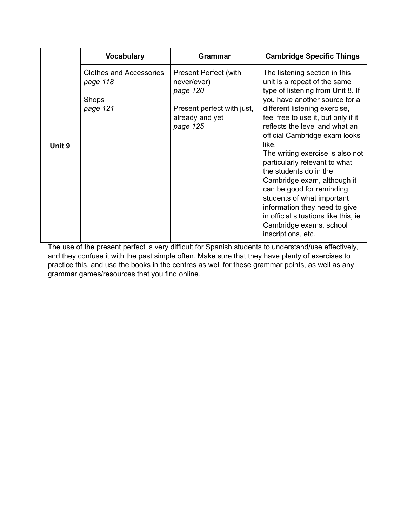|        | <b>Vocabulary</b>                                                      | <b>Grammar</b>                                                                                                       | <b>Cambridge Specific Things</b>                                                                                                                                                                                                                                                                                                                                                                                                                                                                                                                                                                           |
|--------|------------------------------------------------------------------------|----------------------------------------------------------------------------------------------------------------------|------------------------------------------------------------------------------------------------------------------------------------------------------------------------------------------------------------------------------------------------------------------------------------------------------------------------------------------------------------------------------------------------------------------------------------------------------------------------------------------------------------------------------------------------------------------------------------------------------------|
| Unit 9 | <b>Clothes and Accessories</b><br>page 118<br><b>Shops</b><br>page 121 | <b>Present Perfect (with</b><br>never/ever)<br>page 120<br>Present perfect with just,<br>already and yet<br>page 125 | The listening section in this<br>unit is a repeat of the same<br>type of listening from Unit 8. If<br>you have another source for a<br>different listening exercise,<br>feel free to use it, but only if it<br>reflects the level and what an<br>official Cambridge exam looks<br>like.<br>The writing exercise is also not<br>particularly relevant to what<br>the students do in the<br>Cambridge exam, although it<br>can be good for reminding<br>students of what important<br>information they need to give<br>in official situations like this, ie<br>Cambridge exams, school<br>inscriptions, etc. |

The use of the present perfect is very difficult for Spanish students to understand/use effectively, and they confuse it with the past simple often. Make sure that they have plenty of exercises to practice this, and use the books in the centres as well for these grammar points, as well as any grammar games/resources that you find online.